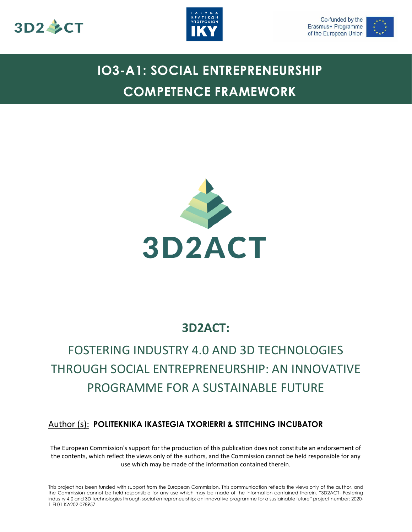





# **IO3-A1: SOCIAL ENTREPRENEURSHIP COMPETENCE FRAMEWORK**



## **3D2ACT:**

## FOSTERING INDUSTRY 4.0 AND 3D TECHNOLOGIES THROUGH SOCIAL ENTREPRENEURSHIP: AN INNOVATIVE PROGRAMME FOR A SUSTAINABLE FUTURE

## Author (s): **POLITEKNIKA IKASTEGIA TXORIERRI & STITCHING INCUBATOR**

The European Commission's support for the production of this publication does not constitute an endorsement of the contents, which reflect the views only of the authors, and the Commission cannot be held responsible for any use which may be made of the information contained therein.

This project has been funded with support from the European Commission. This communication reflects the views only of the author, and the Commission cannot be held responsible for any use which may be made of the information contained therein. "3D2ACT- Fostering industry 4.0 and 3D technologies through social entrepreneurship: an innovative programme for a sustainable future" project number: 2020- 1-EL01-KA202-078957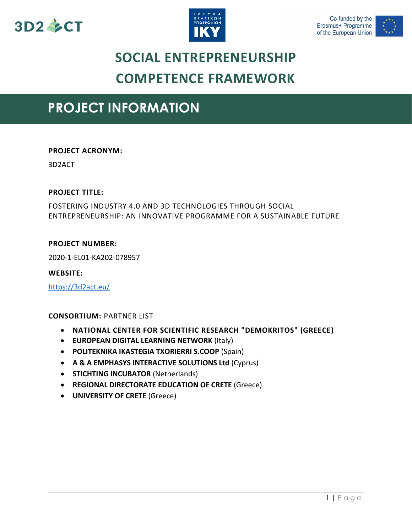





## **SOCIAL ENTREPRENEURSHIP COMPETENCE FRAMEWORK**

## **PROJECT INFORMATION**

### **PROJECT ACRONYM:**

3D2ACT

### **PROJECT TITLE:**

FOSTERING INDUSTRY 4.0 AND 3D TECHNOLOGIES THROUGH SOCIAL ENTREPRENEURSHIP: AN INNOVATIVE PROGRAMME FOR A SUSTAINABLE FUTURE

### **PROJECT NUMBER:**

2020-1-EL01-KA202-078957

#### **WEBSITE:**

<https://3d2act.eu/>

### **CONSORTIUM:** PARTNER LIST

- **NATIONAL CENTER FOR SCIENTIFIC RESEARCH "DEMOKRITOS" (GREECE)**
- **EUROPEAN DIGITAL LEARNING NETWORK** (Italy)
- **POLITEKNIKA IKASTEGIA TXORIERRI S.COOP** (Spain)
- **A & A EMPHASYS INTERACTIVE SOLUTIONS Ltd** (Cyprus)
- **STICHTING INCUBATOR (Netherlands)**
- **REGIONAL DIRECTORATE EDUCATION OF CRETE** (Greece)
- **UNIVERSITY OF CRETE** (Greece)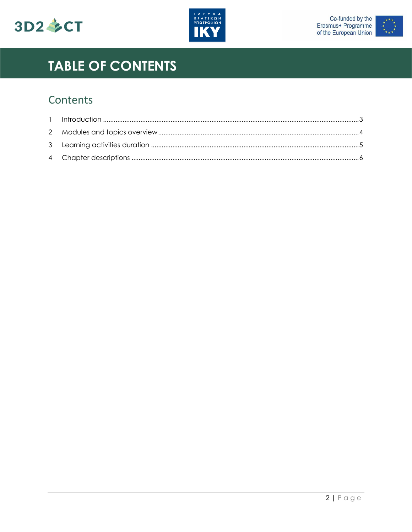





# **TABLE OF CONTENTS**

## Contents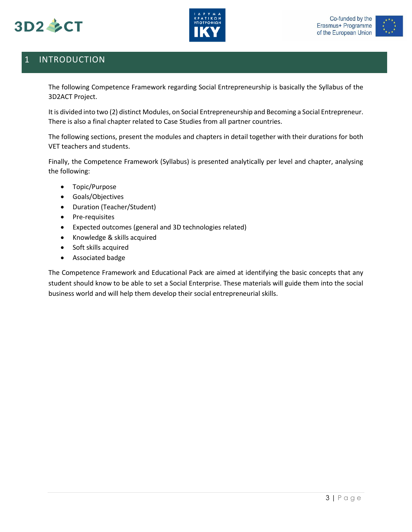





## <span id="page-3-0"></span>1 INTRODUCTION

The following Competence Framework regarding Social Entrepreneurship is basically the Syllabus of the 3D2ACT Project.

It is divided into two (2) distinct Modules, on Social Entrepreneurship and Becoming a Social Entrepreneur. There is also a final chapter related to Case Studies from all partner countries.

The following sections, present the modules and chapters in detail together with their durations for both VET teachers and students.

Finally, the Competence Framework (Syllabus) is presented analytically per level and chapter, analysing the following:

- Topic/Purpose
- Goals/Objectives
- Duration (Teacher/Student)
- Pre-requisites
- Expected outcomes (general and 3D technologies related)
- Knowledge & skills acquired
- Soft skills acquired
- Associated badge

The Competence Framework and Educational Pack are aimed at identifying the basic concepts that any student should know to be able to set a Social Enterprise. These materials will guide them into the social business world and will help them develop their social entrepreneurial skills.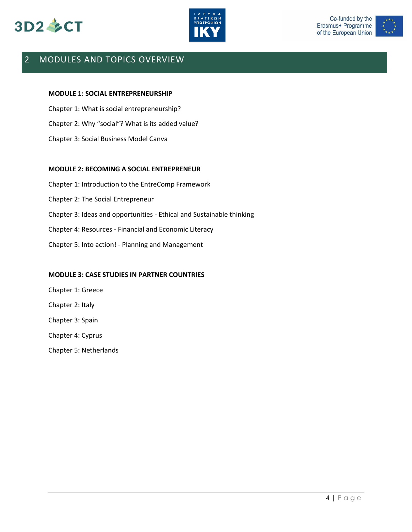





### <span id="page-4-0"></span>2 MODULES AND TOPICS OVERVIEW

#### **MODULE 1: SOCIAL ENTREPRENEURSHIP**

Chapter 1: What is social entrepreneurship? Chapter 2: Why "social"? What is its added value? Chapter 3: Social Business Model Canva

#### **MODULE 2: BECOMING A SOCIAL ENTREPRENEUR**

Chapter 1: Introduction to the EntreComp Framework Chapter 2: The Social Entrepreneur Chapter 3: Ideas and opportunities - Ethical and Sustainable thinking Chapter 4: Resources - Financial and Economic Literacy Chapter 5: Into action! - Planning and Management

#### **MODULE 3: CASE STUDIES IN PARTNER COUNTRIES**

Chapter 1: Greece Chapter 2: Italy Chapter 3: Spain Chapter 4: Cyprus Chapter 5: Netherlands

4 | P a g e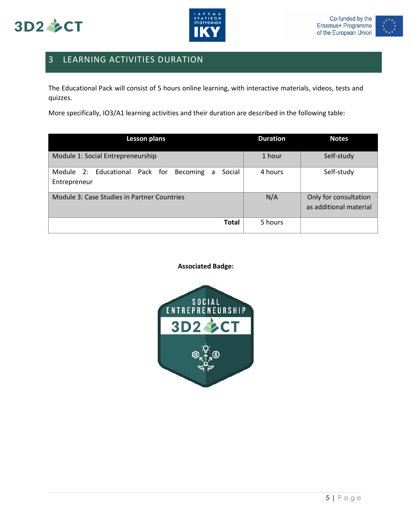





## <span id="page-5-0"></span>3 LEARNING ACTIVITIES DURATION

The Educational Pack will consist of 5 hours online learning, with interactive materials, videos, tests and quizzes.

More specifically, IO3/A1 learning activities and their duration are described in the following table:

| <b>Lesson plans</b>                                                                 | <b>Duration</b> | <b>Notes</b>                                    |
|-------------------------------------------------------------------------------------|-----------------|-------------------------------------------------|
| Module 1: Social Entrepreneurship                                                   | 1 hour          | Self-study                                      |
| 2: Educational Pack for<br>Social<br>Module<br><b>Becoming</b><br>a<br>Entrepreneur | 4 hours         | Self-study                                      |
| Module 3: Case Studies in Partner Countries                                         | N/A             | Only for consultation<br>as additional material |
| <b>Total</b>                                                                        | 5 hours         |                                                 |

#### **Associated Badge:**

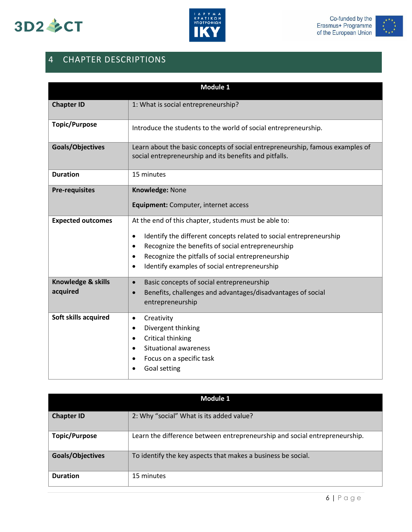





## <span id="page-6-0"></span>4 CHAPTER DESCRIPTIONS

| Module 1                       |                                                                                                                                                                                                                                                                                                                                           |  |
|--------------------------------|-------------------------------------------------------------------------------------------------------------------------------------------------------------------------------------------------------------------------------------------------------------------------------------------------------------------------------------------|--|
| <b>Chapter ID</b>              | 1: What is social entrepreneurship?                                                                                                                                                                                                                                                                                                       |  |
| <b>Topic/Purpose</b>           | Introduce the students to the world of social entrepreneurship.                                                                                                                                                                                                                                                                           |  |
| Goals/Objectives               | Learn about the basic concepts of social entrepreneurship, famous examples of<br>social entrepreneurship and its benefits and pitfalls.                                                                                                                                                                                                   |  |
| <b>Duration</b>                | 15 minutes                                                                                                                                                                                                                                                                                                                                |  |
| <b>Pre-requisites</b>          | Knowledge: None                                                                                                                                                                                                                                                                                                                           |  |
|                                | Equipment: Computer, internet access                                                                                                                                                                                                                                                                                                      |  |
| <b>Expected outcomes</b>       | At the end of this chapter, students must be able to:<br>Identify the different concepts related to social entrepreneurship<br>$\bullet$<br>Recognize the benefits of social entrepreneurship<br>$\bullet$<br>Recognize the pitfalls of social entrepreneurship<br>$\bullet$<br>Identify examples of social entrepreneurship<br>$\bullet$ |  |
| Knowledge & skills<br>acquired | Basic concepts of social entrepreneurship<br>$\bullet$<br>Benefits, challenges and advantages/disadvantages of social<br>$\bullet$<br>entrepreneurship                                                                                                                                                                                    |  |
| Soft skills acquired           | Creativity<br>$\bullet$<br>Divergent thinking<br>$\bullet$<br>Critical thinking<br>٠<br>Situational awareness<br>Focus on a specific task<br>Goal setting                                                                                                                                                                                 |  |

| Module 1             |                                                                            |  |
|----------------------|----------------------------------------------------------------------------|--|
| <b>Chapter ID</b>    | 2: Why "social" What is its added value?                                   |  |
| <b>Topic/Purpose</b> | Learn the difference between entrepreneurship and social entrepreneurship. |  |
| Goals/Objectives     | To identify the key aspects that makes a business be social.               |  |
| <b>Duration</b>      | 15 minutes                                                                 |  |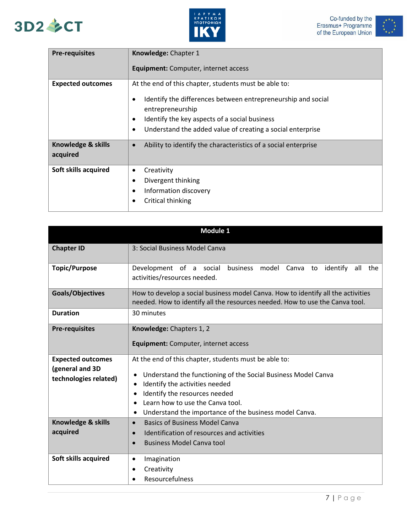





| <b>Pre-requisites</b>          | Knowledge: Chapter 1                                                                                                                                                                                                                                     |
|--------------------------------|----------------------------------------------------------------------------------------------------------------------------------------------------------------------------------------------------------------------------------------------------------|
|                                | <b>Equipment:</b> Computer, internet access                                                                                                                                                                                                              |
| <b>Expected outcomes</b>       | At the end of this chapter, students must be able to:<br>Identify the differences between entrepreneurship and social<br>entrepreneurship<br>Identify the key aspects of a social business<br>Understand the added value of creating a social enterprise |
| Knowledge & skills<br>acquired | Ability to identify the characteristics of a social enterprise<br>$\bullet$                                                                                                                                                                              |
| Soft skills acquired           | Creativity<br>$\bullet$<br>Divergent thinking<br>Information discovery<br>Critical thinking                                                                                                                                                              |

| Module 1                                 |                                                                                                                                                                  |  |
|------------------------------------------|------------------------------------------------------------------------------------------------------------------------------------------------------------------|--|
| <b>Chapter ID</b>                        | 3: Social Business Model Canva                                                                                                                                   |  |
| <b>Topic/Purpose</b>                     | Development of a social business model Canva to<br>identify<br>all<br>the<br>activities/resources needed.                                                        |  |
| <b>Goals/Objectives</b>                  | How to develop a social business model Canva. How to identify all the activities<br>needed. How to identify all the resources needed. How to use the Canva tool. |  |
| <b>Duration</b>                          | 30 minutes                                                                                                                                                       |  |
| <b>Pre-requisites</b>                    | Knowledge: Chapters 1, 2                                                                                                                                         |  |
|                                          | Equipment: Computer, internet access                                                                                                                             |  |
| <b>Expected outcomes</b>                 | At the end of this chapter, students must be able to:                                                                                                            |  |
| (general and 3D<br>technologies related) | Understand the functioning of the Social Business Model Canva<br>$\bullet$                                                                                       |  |
|                                          | Identify the activities needed<br>$\bullet$<br>Identify the resources needed<br>$\bullet$                                                                        |  |
|                                          | Learn how to use the Canva tool.                                                                                                                                 |  |
|                                          | Understand the importance of the business model Canva.<br>$\bullet$                                                                                              |  |
| <b>Knowledge &amp; skills</b>            | <b>Basics of Business Model Canva</b><br>$\bullet$                                                                                                               |  |
| acquired                                 | Identification of resources and activities<br>$\bullet$                                                                                                          |  |
|                                          | <b>Business Model Canva tool</b><br>$\bullet$                                                                                                                    |  |
| Soft skills acquired                     | Imagination<br>$\bullet$                                                                                                                                         |  |
|                                          | Creativity<br>$\bullet$                                                                                                                                          |  |
|                                          | Resourcefulness                                                                                                                                                  |  |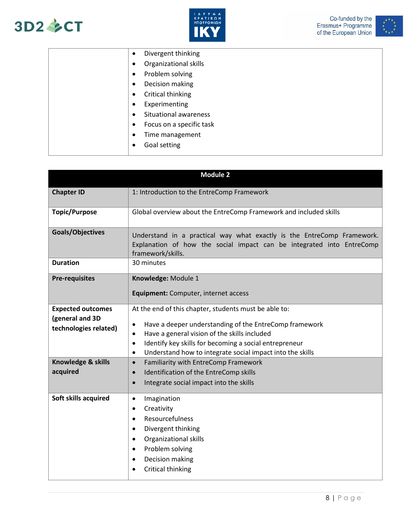





|  |           | Divergent thinking       |
|--|-----------|--------------------------|
|  |           | Organizational skills    |
|  |           | Problem solving          |
|  |           | Decision making          |
|  |           | Critical thinking        |
|  | ٠         | Experimenting            |
|  |           | Situational awareness    |
|  | $\bullet$ | Focus on a specific task |
|  | ٠         | Time management          |
|  |           | Goal setting             |
|  |           |                          |

| <b>Module 2</b>                                                      |                                                                                                                                                                                                                                                                                                                                    |  |
|----------------------------------------------------------------------|------------------------------------------------------------------------------------------------------------------------------------------------------------------------------------------------------------------------------------------------------------------------------------------------------------------------------------|--|
| <b>Chapter ID</b>                                                    | 1: Introduction to the EntreComp Framework                                                                                                                                                                                                                                                                                         |  |
| <b>Topic/Purpose</b>                                                 | Global overview about the EntreComp Framework and included skills                                                                                                                                                                                                                                                                  |  |
| Goals/Objectives                                                     | Understand in a practical way what exactly is the EntreComp Framework.<br>Explanation of how the social impact can be integrated into EntreComp<br>framework/skills.                                                                                                                                                               |  |
| <b>Duration</b>                                                      | 30 minutes                                                                                                                                                                                                                                                                                                                         |  |
| <b>Pre-requisites</b>                                                | Knowledge: Module 1                                                                                                                                                                                                                                                                                                                |  |
|                                                                      | Equipment: Computer, internet access                                                                                                                                                                                                                                                                                               |  |
| <b>Expected outcomes</b><br>(general and 3D<br>technologies related) | At the end of this chapter, students must be able to:<br>Have a deeper understanding of the EntreComp framework<br>$\bullet$<br>Have a general vision of the skills included<br>٠<br>Identify key skills for becoming a social entrepreneur<br>$\bullet$<br>Understand how to integrate social impact into the skills<br>$\bullet$ |  |
| Knowledge & skills<br>acquired                                       | Familiarity with EntreComp Framework<br>$\bullet$                                                                                                                                                                                                                                                                                  |  |
|                                                                      | Identification of the EntreComp skills<br>$\bullet$<br>Integrate social impact into the skills<br>$\bullet$                                                                                                                                                                                                                        |  |
| Soft skills acquired                                                 | Imagination<br>$\bullet$<br>Creativity<br>٠<br>Resourcefulness<br>٠<br>Divergent thinking<br>$\bullet$<br>Organizational skills<br>$\bullet$<br>Problem solving<br>٠<br>Decision making<br>$\bullet$<br>Critical thinking<br>$\bullet$                                                                                             |  |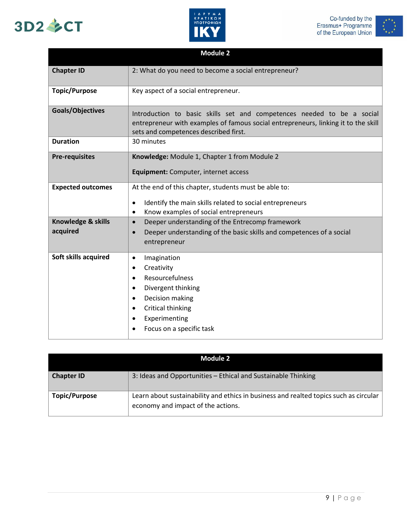# 3D2 多CT





|                                | <b>Module 2</b>                                                                                                                                                                                                          |
|--------------------------------|--------------------------------------------------------------------------------------------------------------------------------------------------------------------------------------------------------------------------|
| <b>Chapter ID</b>              | 2: What do you need to become a social entrepreneur?                                                                                                                                                                     |
| <b>Topic/Purpose</b>           | Key aspect of a social entrepreneur.                                                                                                                                                                                     |
| Goals/Objectives               | Introduction to basic skills set and competences needed to be a social<br>entrepreneur with examples of famous social entrepreneurs, linking it to the skill<br>sets and competences described first.                    |
| <b>Duration</b>                | 30 minutes                                                                                                                                                                                                               |
| <b>Pre-requisites</b>          | Knowledge: Module 1, Chapter 1 from Module 2<br>Equipment: Computer, internet access                                                                                                                                     |
| <b>Expected outcomes</b>       | At the end of this chapter, students must be able to:<br>Identify the main skills related to social entrepreneurs<br>$\bullet$<br>Know examples of social entrepreneurs<br>$\bullet$                                     |
| Knowledge & skills<br>acquired | Deeper understanding of the Entrecomp framework<br>$\bullet$<br>Deeper understanding of the basic skills and competences of a social<br>$\bullet$<br>entrepreneur                                                        |
| Soft skills acquired           | Imagination<br>$\bullet$<br>Creativity<br>$\bullet$<br>Resourcefulness<br>$\bullet$<br>Divergent thinking<br>Decision making<br>$\bullet$<br>Critical thinking<br>$\bullet$<br>Experimenting<br>Focus on a specific task |

| Module 2             |                                                                                                                             |  |
|----------------------|-----------------------------------------------------------------------------------------------------------------------------|--|
| <b>Chapter ID</b>    | 3: Ideas and Opportunities - Ethical and Sustainable Thinking                                                               |  |
| <b>Topic/Purpose</b> | Learn about sustainability and ethics in business and realted topics such as circular<br>economy and impact of the actions. |  |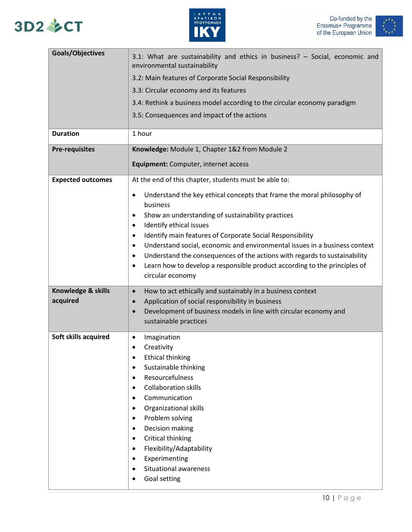# 3D2 多CT





| Goals/Objectives         | 3.1: What are sustainability and ethics in business? - Social, economic and<br>environmental sustainability |
|--------------------------|-------------------------------------------------------------------------------------------------------------|
|                          | 3.2: Main features of Corporate Social Responsibility                                                       |
|                          | 3.3: Circular economy and its features                                                                      |
|                          | 3.4: Rethink a business model according to the circular economy paradigm                                    |
|                          | 3.5: Consequences and impact of the actions                                                                 |
| <b>Duration</b>          | 1 hour                                                                                                      |
| <b>Pre-requisites</b>    | Knowledge: Module 1, Chapter 1&2 from Module 2                                                              |
|                          | Equipment: Computer, internet access                                                                        |
| <b>Expected outcomes</b> | At the end of this chapter, students must be able to:                                                       |
|                          | Understand the key ethical concepts that frame the moral philosophy of<br>$\bullet$                         |
|                          | business                                                                                                    |
|                          | Show an understanding of sustainability practices<br>٠<br>Identify ethical issues<br>$\bullet$              |
|                          | Identify main features of Corporate Social Responsibility<br>٠                                              |
|                          | Understand social, economic and environmental issues in a business context<br>$\bullet$                     |
|                          | Understand the consequences of the actions with regards to sustainability<br>$\bullet$                      |
|                          | Learn how to develop a responsible product according to the principles of<br>$\bullet$<br>circular economy  |
| Knowledge & skills       | How to act ethically and sustainably in a business context<br>$\bullet$                                     |
| acquired                 | Application of social responsibility in business<br>$\bullet$                                               |
|                          | Development of business models in line with circular economy and<br>$\bullet$<br>sustainable practices      |
|                          |                                                                                                             |
| Soft skills acquired     | Imagination<br>$\bullet$<br>Creativity                                                                      |
|                          | <b>Ethical thinking</b><br>$\bullet$                                                                        |
|                          | Sustainable thinking<br>$\bullet$                                                                           |
|                          | Resourcefulness<br>$\bullet$                                                                                |
|                          | <b>Collaboration skills</b><br>$\bullet$<br>Communication<br>$\bullet$                                      |
|                          | Organizational skills<br>$\bullet$                                                                          |
|                          | Problem solving<br>$\bullet$                                                                                |
|                          | Decision making<br>$\bullet$                                                                                |
|                          | Critical thinking<br>$\bullet$<br>Flexibility/Adaptability<br>$\bullet$                                     |
|                          | Experimenting<br>$\bullet$                                                                                  |
|                          | Situational awareness<br>$\bullet$                                                                          |
|                          | Goal setting<br>٠                                                                                           |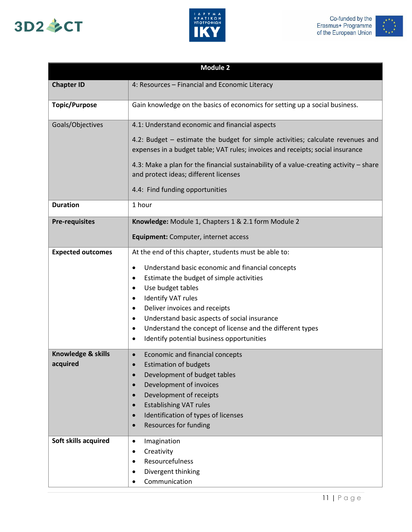





| <b>Module 2</b>                |                                                                                                                                                                                                                                                                                                                                                                                                                                                               |  |
|--------------------------------|---------------------------------------------------------------------------------------------------------------------------------------------------------------------------------------------------------------------------------------------------------------------------------------------------------------------------------------------------------------------------------------------------------------------------------------------------------------|--|
| <b>Chapter ID</b>              | 4: Resources - Financial and Economic Literacy                                                                                                                                                                                                                                                                                                                                                                                                                |  |
| <b>Topic/Purpose</b>           | Gain knowledge on the basics of economics for setting up a social business.                                                                                                                                                                                                                                                                                                                                                                                   |  |
| Goals/Objectives               | 4.1: Understand economic and financial aspects                                                                                                                                                                                                                                                                                                                                                                                                                |  |
|                                | 4.2: Budget – estimate the budget for simple activities; calculate revenues and<br>expenses in a budget table; VAT rules; invoices and receipts; social insurance                                                                                                                                                                                                                                                                                             |  |
|                                | 4.3: Make a plan for the financial sustainability of a value-creating activity - share<br>and protect ideas; different licenses                                                                                                                                                                                                                                                                                                                               |  |
|                                | 4.4: Find funding opportunities                                                                                                                                                                                                                                                                                                                                                                                                                               |  |
| <b>Duration</b>                | 1 hour                                                                                                                                                                                                                                                                                                                                                                                                                                                        |  |
| <b>Pre-requisites</b>          | Knowledge: Module 1, Chapters 1 & 2.1 form Module 2                                                                                                                                                                                                                                                                                                                                                                                                           |  |
|                                | Equipment: Computer, internet access                                                                                                                                                                                                                                                                                                                                                                                                                          |  |
| <b>Expected outcomes</b>       | At the end of this chapter, students must be able to:<br>Understand basic economic and financial concepts<br>$\bullet$<br>Estimate the budget of simple activities<br>Use budget tables<br>$\bullet$<br><b>Identify VAT rules</b><br>٠<br>Deliver invoices and receipts<br>٠<br>Understand basic aspects of social insurance<br>٠<br>Understand the concept of license and the different types<br>$\bullet$<br>Identify potential business opportunities<br>٠ |  |
| Knowledge & skills<br>acquired | Economic and financial concepts<br>$\bullet$<br><b>Estimation of budgets</b><br>$\bullet$<br>Development of budget tables<br>$\bullet$<br>Development of invoices<br>$\bullet$<br>Development of receipts<br>$\bullet$<br><b>Establishing VAT rules</b><br>$\bullet$<br>Identification of types of licenses<br>$\bullet$<br>Resources for funding<br>$\bullet$                                                                                                |  |
| Soft skills acquired           | Imagination<br>$\bullet$<br>Creativity<br>٠<br>Resourcefulness<br>$\bullet$<br>Divergent thinking<br>Communication                                                                                                                                                                                                                                                                                                                                            |  |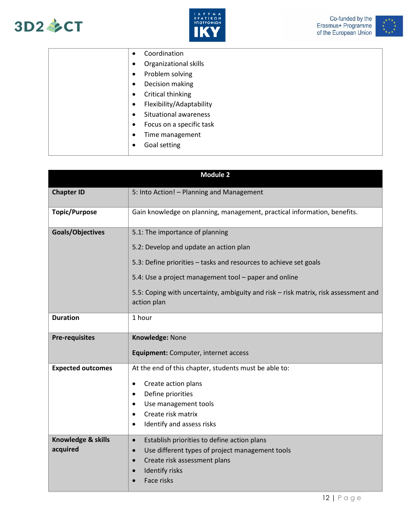





|  |           | Coordination                 |
|--|-----------|------------------------------|
|  | $\bullet$ | <b>Organizational skills</b> |
|  | $\bullet$ | Problem solving              |
|  |           | Decision making              |
|  | $\bullet$ | Critical thinking            |
|  | $\bullet$ | Flexibility/Adaptability     |
|  | $\bullet$ | <b>Situational awareness</b> |
|  | $\bullet$ | Focus on a specific task     |
|  | $\bullet$ | Time management              |
|  |           | Goal setting                 |
|  |           |                              |

| <b>Module 2</b>          |                                                                                                    |  |  |
|--------------------------|----------------------------------------------------------------------------------------------------|--|--|
| <b>Chapter ID</b>        | 5: Into Action! - Planning and Management                                                          |  |  |
| <b>Topic/Purpose</b>     | Gain knowledge on planning, management, practical information, benefits.                           |  |  |
| Goals/Objectives         | 5.1: The importance of planning<br>5.2: Develop and update an action plan                          |  |  |
|                          | 5.3: Define priorities – tasks and resources to achieve set goals                                  |  |  |
|                          | 5.4: Use a project management tool - paper and online                                              |  |  |
|                          | 5.5: Coping with uncertainty, ambiguity and risk - risk matrix, risk assessment and<br>action plan |  |  |
| <b>Duration</b>          | 1 hour                                                                                             |  |  |
| <b>Pre-requisites</b>    | Knowledge: None                                                                                    |  |  |
|                          | Equipment: Computer, internet access                                                               |  |  |
| <b>Expected outcomes</b> | At the end of this chapter, students must be able to:                                              |  |  |
|                          | Create action plans<br>$\bullet$                                                                   |  |  |
|                          | Define priorities<br>$\bullet$                                                                     |  |  |
|                          | Use management tools<br>٠                                                                          |  |  |
|                          | Create risk matrix<br>$\bullet$                                                                    |  |  |
|                          | Identify and assess risks<br>$\bullet$                                                             |  |  |
| Knowledge & skills       | Establish priorities to define action plans<br>$\bullet$                                           |  |  |
| acquired                 | Use different types of project management tools<br>$\bullet$                                       |  |  |
|                          | Create risk assessment plans<br>$\bullet$                                                          |  |  |
|                          | <b>Identify risks</b><br>$\bullet$                                                                 |  |  |
|                          | Face risks                                                                                         |  |  |